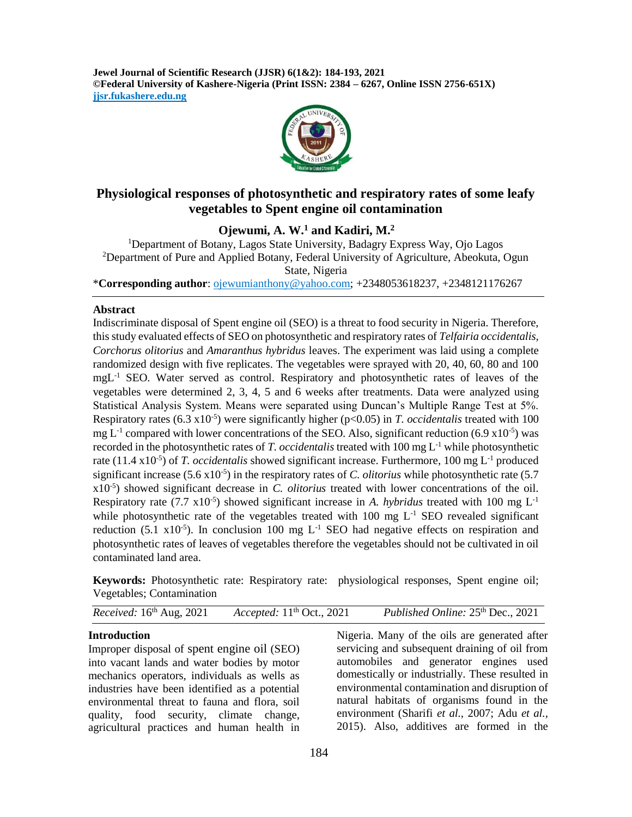**Jewel Journal of Scientific Research (JJSR) 6(1&2): 184-193, 2021 ©Federal University of Kashere-Nigeria (Print ISSN: 2384 – 6267, Online ISSN 2756-651X) jjsr.fukashere.edu.ng**



# **Physiological responses of photosynthetic and respiratory rates of some leafy vegetables to Spent engine oil contamination**

**Ojewumi, A. W. <sup>1</sup> and Kadiri, M. 2**

<sup>1</sup>Department of Botany, Lagos State University, Badagry Express Way, Ojo Lagos <sup>2</sup>Department of Pure and Applied Botany, Federal University of Agriculture, Abeokuta, Ogun State, Nigeria \***Corresponding author**[: ojewumianthony@yahoo.com;](mailto:ojewumianthony@yahoo.com) +2348053618237, +2348121176267

## **Abstract**

Indiscriminate disposal of Spent engine oil (SEO) is a threat to food security in Nigeria. Therefore, this study evaluated effects of SEO on photosynthetic and respiratory rates of *Telfairia occidentalis, Corchorus olitorius* and *Amaranthus hybridus* leaves. The experiment was laid using a complete randomized design with five replicates. The vegetables were sprayed with 20, 40, 60, 80 and 100 mgL-1 SEO. Water served as control. Respiratory and photosynthetic rates of leaves of the vegetables were determined 2, 3, 4, 5 and 6 weeks after treatments. Data were analyzed using Statistical Analysis System. Means were separated using Duncan's Multiple Range Test at 5%. Respiratory rates  $(6.3 \times 10^{-5})$  were significantly higher  $(p<0.05)$  in *T. occidentalis* treated with 100 mg  $L^{-1}$  compared with lower concentrations of the SEO. Also, significant reduction (6.9 x10<sup>-5</sup>) was recorded in the photosynthetic rates of *T. occidentalis* treated with 100 mg L-1 while photosynthetic rate (11.4 x10<sup>-5</sup>) of *T. occidentalis* showed significant increase. Furthermore, 100 mg L<sup>-1</sup> produced significant increase  $(5.6 \times 10^{-5})$  in the respiratory rates of *C. olitorius* while photosynthetic rate  $(5.7 \times 10^{-5})$ x10-5 ) showed significant decrease in *C. olitorius* treated with lower concentrations of the oil. Respiratory rate  $(7.7 \times 10^{-5})$  showed significant increase in *A. hybridus* treated with 100 mg L<sup>-1</sup> while photosynthetic rate of the vegetables treated with  $100 \text{ mg } L^{-1}$  SEO revealed significant reduction (5.1  $x10^{-5}$ ). In conclusion 100 mg L<sup>-1</sup> SEO had negative effects on respiration and photosynthetic rates of leaves of vegetables therefore the vegetables should not be cultivated in oil contaminated land area.

**Keywords:** Photosynthetic rate: Respiratory rate: physiological responses, Spent engine oil; Vegetables; Contamination

*Received:* 16<sup>th</sup> Aug, 2021 Accepted: 11<sup>th</sup> Oct., 2021 th Oct., 2021 *Published Online:* 25 th Dec., 2021

#### **Introduction**

Improper disposal of spent engine oil (SEO) into vacant lands and water bodies by motor mechanics operators, individuals as wells as industries have been identified as a potential environmental threat to fauna and flora, soil quality, food security, climate change, agricultural practices and human health in

Nigeria. Many of the oils are generated after servicing and subsequent draining of oil from automobiles and generator engines used domestically or industrially. These resulted in environmental contamination and disruption of natural habitats of organisms found in the environment (Sharifi *et al.,* 2007; Adu *et al.,* 2015). Also, additives are formed in the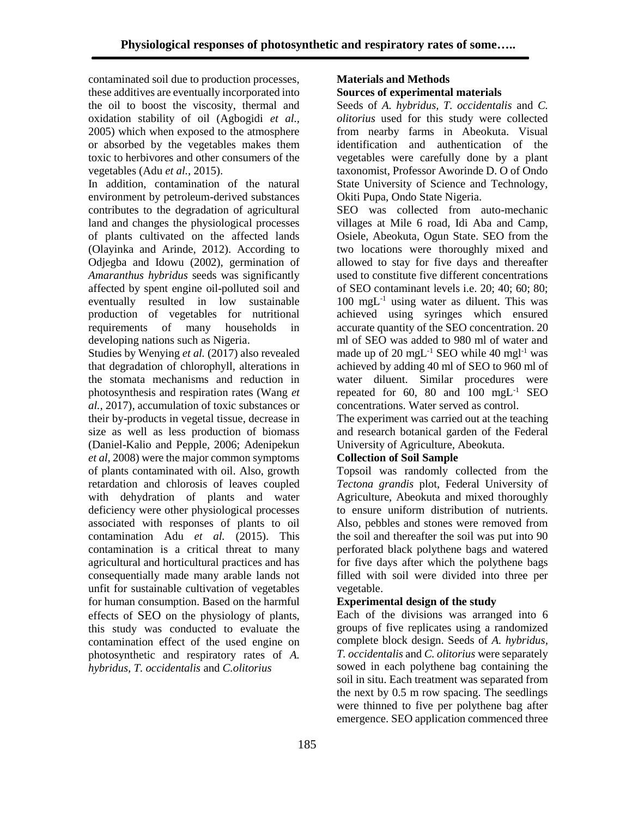contaminated soil due to production processes, these additives are eventually incorporated into the oil to boost the viscosity, thermal and oxidation stability of oil (Agbogidi *et al.,* 2005) which when exposed to the atmosphere or absorbed by the vegetables makes them toxic to herbivores and other consumers of the vegetables (Adu *et al.,* 2015).

In addition, contamination of the natural environment by petroleum-derived substances contributes to the degradation of agricultural land and changes the physiological processes of plants cultivated on the affected lands (Olayinka and Arinde, 2012). According to Odjegba and Idowu (2002), germination of *Amaranthus hybridus* seeds was significantly affected by spent engine oil-polluted soil and eventually resulted in low sustainable production of vegetables for nutritional requirements of many households in developing nations such as Nigeria.

Studies by Wenying *et al.* (2017) also revealed that degradation of chlorophyll, alterations in the stomata mechanisms and reduction in photosynthesis and respiration rates (Wang *et al.,* 2017), accumulation of toxic substances or their by-products in vegetal tissue, decrease in size as well as less production of biomass (Daniel-Kalio and Pepple, 2006; Adenipekun *et al,* 2008) were the major common symptoms of plants contaminated with oil. Also, growth retardation and chlorosis of leaves coupled with dehydration of plants and water deficiency were other physiological processes associated with responses of plants to oil contamination Adu *et al.* (2015). This contamination is a critical threat to many agricultural and horticultural practices and has consequentially made many arable lands not unfit for sustainable cultivation of vegetables for human consumption. Based on the harmful effects of SEO on the physiology of plants, this study was conducted to evaluate the contamination effect of the used engine on photosynthetic and respiratory rates of *A. hybridus, T. occidentalis* and *C.olitorius* 

#### **Materials and Methods Sources of experimental materials**

Seeds of *A. hybridus, T. occidentalis* and *C. olitorius* used for this study were collected from nearby farms in Abeokuta. Visual identification and authentication of the vegetables were carefully done by a plant taxonomist, Professor Aworinde D. O of Ondo State University of Science and Technology, Okiti Pupa, Ondo State Nigeria.

SEO was collected from auto-mechanic villages at Mile 6 road, Idi Aba and Camp, Osiele, Abeokuta, Ogun State. SEO from the two locations were thoroughly mixed and allowed to stay for five days and thereafter used to constitute five different concentrations of SEO contaminant levels i.e. 20; 40; 60; 80;  $100 \text{ mgL}^{-1}$  using water as diluent. This was achieved using syringes which ensured accurate quantity of the SEO concentration. 20 ml of SEO was added to 980 ml of water and made up of 20 mg $L^{-1}$  SEO while 40 mg $l^{-1}$  was achieved by adding 40 ml of SEO to 960 ml of water diluent. Similar procedures were repeated for 60, 80 and  $100 \text{ mgL}^{-1}$  SEO concentrations. Water served as control.

The experiment was carried out at the teaching and research botanical garden of the Federal University of Agriculture, Abeokuta.

# **Collection of Soil Sample**

Topsoil was randomly collected from the *Tectona grandis* plot, Federal University of Agriculture, Abeokuta and mixed thoroughly to ensure uniform distribution of nutrients. Also, pebbles and stones were removed from the soil and thereafter the soil was put into 90 perforated black polythene bags and watered for five days after which the polythene bags filled with soil were divided into three per vegetable.

# **Experimental design of the study**

Each of the divisions was arranged into 6 groups of five replicates using a randomized complete block design. Seeds of *A. hybridus, T. occidentalis* and *C. olitorius* were separately sowed in each polythene bag containing the soil in situ. Each treatment was separated from the next by 0.5 m row spacing. The seedlings were thinned to five per polythene bag after emergence. SEO application commenced three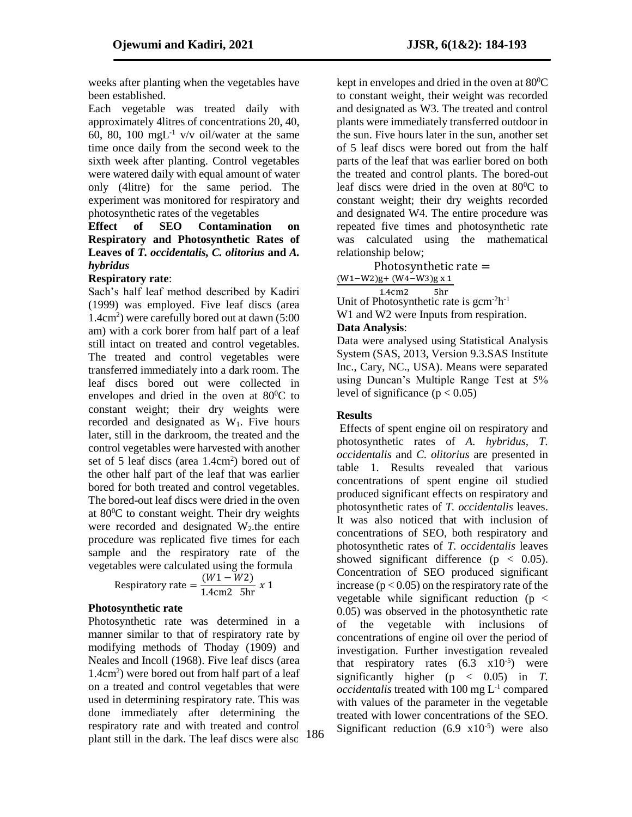weeks after planting when the vegetables have been established.

Each vegetable was treated daily with approximately 4litres of concentrations 20, 40, 60, 80, 100 mgL $^{-1}$  v/v oil/water at the same time once daily from the second week to the sixth week after planting. Control vegetables were watered daily with equal amount of water only (4litre) for the same period. The experiment was monitored for respiratory and photosynthetic rates of the vegetables

# **Effect of SEO Contamination on Respiratory and Photosynthetic Rates of Leaves of** *T. occidentalis, C. olitorius* **and** *A. hybridus*

#### **Respiratory rate**:

Sach's half leaf method described by Kadiri (1999) was employed. Five leaf discs (area 1.4cm<sup>2</sup> ) were carefully bored out at dawn (5:00 am) with a cork borer from half part of a leaf still intact on treated and control vegetables. The treated and control vegetables were transferred immediately into a dark room. The leaf discs bored out were collected in envelopes and dried in the oven at  $80^{\circ}$ C to constant weight; their dry weights were recorded and designated as  $W_1$ . Five hours later, still in the darkroom, the treated and the control vegetables were harvested with another set of 5 leaf discs (area 1.4cm<sup>2</sup>) bored out of the other half part of the leaf that was earlier bored for both treated and control vegetables. The bored-out leaf discs were dried in the oven at 80<sup>0</sup>C to constant weight. Their dry weights were recorded and designated  $W_2$ , the entire procedure was replicated five times for each sample and the respiratory rate of the vegetables were calculated using the formula

Respiratory rate = 
$$
\frac{(W1 - W2)}{1.4 \text{cm}^2 \text{5hr}} \times 1
$$

# **Photosynthetic rate**

Photosynthetic rate was determined in a manner similar to that of respiratory rate by modifying methods of Thoday (1909) and Neales and Incoll (1968). Five leaf discs (area 1.4cm<sup>2</sup> ) were bored out from half part of a leaf on a treated and control vegetables that were used in determining respiratory rate. This was done immediately after determining the respiratory rate and with treated and control plant still in the dark. The leaf discs were also kept in envelopes and dried in the oven at  $80^{\circ}$ C to constant weight, their weight was recorded and designated as W3. The treated and control plants were immediately transferred outdoor in the sun. Five hours later in the sun, another set of 5 leaf discs were bored out from the half parts of the leaf that was earlier bored on both the treated and control plants. The bored-out leaf discs were dried in the oven at  $80^{\circ}$ C to constant weight; their dry weights recorded and designated W4. The entire procedure was repeated five times and photosynthetic rate was calculated using the mathematical relationship below;

 Photosynthetic rate = (W1−W2)g+ (W4−W3)g x 1

$$
1.4 \mathrm{cm}^2 \qquad 5h
$$

1.4cm2 5hr<br>Unit of Photosynthetic rate is gcm<sup>-2</sup>h<sup>-1</sup> W<sub>1</sub> and W<sub>2</sub> were Inputs from respiration. **Data Analysis**:

Data were analysed using Statistical Analysis System (SAS, 2013, Version 9.3.SAS Institute Inc., Cary, NC., USA). Means were separated using Duncan's Multiple Range Test at 5% level of significance ( $p < 0.05$ )

# **Results**

Effects of spent engine oil on respiratory and photosynthetic rates of *A. hybridus, T. occidentalis* and *C. olitorius* are presented in table 1. Results revealed that various concentrations of spent engine oil studied produced significant effects on respiratory and photosynthetic rates of *T. occidentalis* leaves. It was also noticed that with inclusion of concentrations of SEO, both respiratory and photosynthetic rates of *T. occidentalis* leaves showed significant difference ( $p < 0.05$ ). Concentration of SEO produced significant increase ( $p < 0.05$ ) on the respiratory rate of the vegetable while significant reduction ( $p <$ 0.05) was observed in the photosynthetic rate of the vegetable with inclusions of concentrations of engine oil over the period of investigation. Further investigation revealed that respiratory rates  $(6.3 \times 10^{-5})$  were significantly higher ( $p \leq 0.05$ ) in *T*. *occidentalis* treated with 100 mg L-1 compared with values of the parameter in the vegetable treated with lower concentrations of the SEO. 186 Significant reduction  $(6.9 \text{ x}10^{-5})$  were also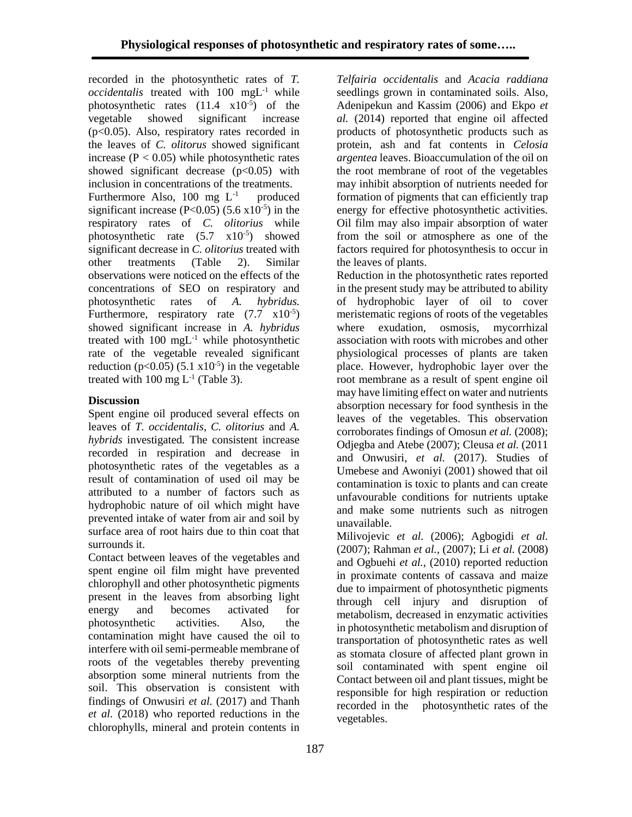recorded in the photosynthetic rates of *T. occidentalis* treated with 100 mgL-1 while photosynthetic rates  $(11.4 \text{ x}10^{-5})$  of the vegetable showed significant increase (p<0.05). Also, respiratory rates recorded in the leaves of *C. olitorus* showed significant increase ( $P < 0.05$ ) while photosynthetic rates showed significant decrease  $(p<0.05)$  with inclusion in concentrations of the treatments. Furthermore Also, 100 mg  $L^{-1}$  produced significant increase  $(P<0.05)$  (5.6  $\times 10^{-5}$ ) in the respiratory rates of *C. olitorius* while photosynthetic rate  $(5.7 \times 10^{-5})$  showed significant decrease in *C. olitorius* treated with other treatments (Table 2). Similar observations were noticed on the effects of the concentrations of SEO on respiratory and photosynthetic rates of *A. hybridus.* Furthermore, respiratory rate  $(7.7 \times 10^{-5})$ showed significant increase in *A. hybridus* treated with  $100 \text{ mgL}^{-1}$  while photosynthetic rate of the vegetable revealed significant reduction ( $p<0.05$ ) (5.1 x10<sup>-5</sup>) in the vegetable treated with  $100 \text{ mg } L^{-1}$  (Table 3).

#### **Discussion**

Spent engine oil produced several effects on leaves of *T. occidentalis, C. olitorius* and *A. hybrids* investigated*.* The consistent increase recorded in respiration and decrease in photosynthetic rates of the vegetables as a result of contamination of used oil may be attributed to a number of factors such as hydrophobic nature of oil which might have prevented intake of water from air and soil by surface area of root hairs due to thin coat that surrounds it.

Contact between leaves of the vegetables and spent engine oil film might have prevented chlorophyll and other photosynthetic pigments present in the leaves from absorbing light energy and becomes activated for photosynthetic activities. Also, the contamination might have caused the oil to interfere with oil semi-permeable membrane of roots of the vegetables thereby preventing absorption some mineral nutrients from the soil. This observation is consistent with findings of Onwusiri *et al.* (2017) and Thanh *et al.* (2018) who reported reductions in the chlorophylls, mineral and protein contents in

*Telfairia occidentalis* and *Acacia raddiana* seedlings grown in contaminated soils. Also, Adenipekun and Kassim (2006) and Ekpo *et al.* (2014) reported that engine oil affected products of photosynthetic products such as protein, ash and fat contents in *Celosia argentea* leaves. Bioaccumulation of the oil on the root membrane of root of the vegetables may inhibit absorption of nutrients needed for formation of pigments that can efficiently trap energy for effective photosynthetic activities. Oil film may also impair absorption of water from the soil or atmosphere as one of the factors required for photosynthesis to occur in the leaves of plants.

Reduction in the photosynthetic rates reported in the present study may be attributed to ability of hydrophobic layer of oil to cover meristematic regions of roots of the vegetables where exudation, osmosis, mycorrhizal association with roots with microbes and other physiological processes of plants are taken place. However, hydrophobic layer over the root membrane as a result of spent engine oil may have limiting effect on water and nutrients absorption necessary for food synthesis in the leaves of the vegetables. This observation corroborates findings of Omosun *et al.* (2008); Odjegba and Atebe (2007); Cleusa *et al.* (2011 and Onwusiri, *et al.* (2017). Studies of Umebese and Awoniyi (2001) showed that oil contamination is toxic to plants and can create unfavourable conditions for nutrients uptake and make some nutrients such as nitrogen unavailable.

Milivojevic *et al.* (2006); Agbogidi *et al.* (2007); Rahman *et al.,* (2007); Li *et al.* (2008) and Ogbuehi *et al.,* (2010) reported reduction in proximate contents of cassava and maize due to impairment of photosynthetic pigments through cell injury and disruption of metabolism, decreased in enzymatic activities in photosynthetic metabolism and disruption of transportation of photosynthetic rates as well as stomata closure of affected plant grown in soil contaminated with spent engine oil Contact between oil and plant tissues, might be responsible for high respiration or reduction recorded in the photosynthetic rates of the vegetables.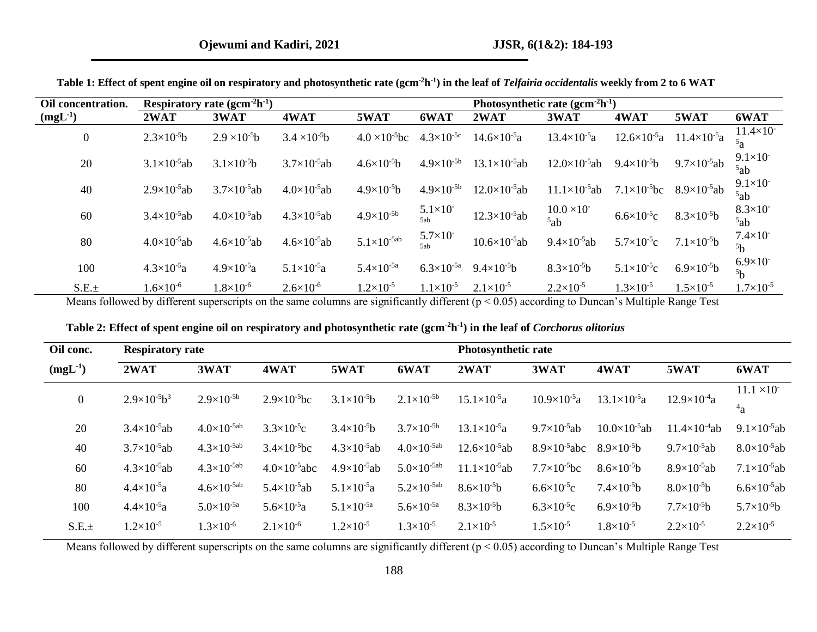| Oil concentration. |                         | Respiratory rate $(gcm-2h-1)$ |                         | Photosynthetic rate $(gcm-2h-1)$ |                           |                          |                              |                                                 |                       |                                      |
|--------------------|-------------------------|-------------------------------|-------------------------|----------------------------------|---------------------------|--------------------------|------------------------------|-------------------------------------------------|-----------------------|--------------------------------------|
| $(mgL^{-1})$       | 2WAT                    | 3WAT                          | 4WAT                    | 5WAT                             | 6WAT                      | 2WAT                     | 3WAT                         | 4WAT                                            | 5WAT                  | 6WAT                                 |
| $\boldsymbol{0}$   | $2.3\times10^{-5}b$     | $2.9 \times 10^{-5}$ b        | $3.4 \times 10^{-5}b$   | $4.0 \times 10^{-5}$ bc          | $4.3\times10^{-5c}$       | $14.6 \times 10^{-5}a$   | $13.4\times10^{-5}a$         | $12.6 \times 10^{-5}$ a $11.4 \times 10^{-5}$ a |                       | $11.4 \times 10^{-7}$<br>5a          |
| 20                 | $3.1\times10^{-5}$ ab   | $3.1 \times 10^{-5}b$         | $3.7 \times 10^{-5}$ ab | $4.6 \times 10^{-5}b$            | $4.9\times10^{-5b}$       | $13.1 \times 10^{-5}$ ab | $12.0\times10^{-5}$ ab       | $9.4 \times 10^{-5}b$                           | $9.7\times10^{-5}$ ab | $9.1 \times 10^{-7}$<br>5ab          |
| 40                 | $2.9\times10^{-5}$ ab   | $3.7\times10^{-5}$ ab         | $4.0\times10^{-5}$ ab   | $4.9\times10^{-5}b$              | $4.9\times10^{-5b}$       | $12.0\times10^{-5}$ ab   | $11.1 \times 10^{-5}$ ab     | $7.1\times10^{-5}$ bc                           | $8.9\times10^{-5}$ ab | $9.1 \times 10^{-7}$<br>5ab          |
| 60                 | $3.4 \times 10^{-5}$ ab | $4.0 \times 10^{-5}$ ab       | $4.3 \times 10^{-5}$ ab | $4.9\times10^{-5b}$              | $5.1\times10^{-7}$<br>5ab | $12.3 \times 10^{-5}$ ab | $10.0 \times 10^{-7}$<br>5ab | $6.6 \times 10^{-5}$ c                          | $8.3\times10^{-5}b$   | $8.3 \times 10^{-7}$<br>5ab          |
| 80                 | $4.0 \times 10^{-5}$ ab | $4.6 \times 10^{-5}$ ab       | $4.6 \times 10^{-5}$ ab | $5.1 \times 10^{-5ab}$           | $5.7\times10^{-7}$<br>5ah | $10.6 \times 10^{-5}$ ab | $9.4 \times 10^{-5}$ ab      | $5.7\times10^{5}c$                              | $7.1\times10^{-5}b$   | $7.4\times10^{-7}$<br>5 <sub>b</sub> |
| 100                | $4.3 \times 10^{-5}a$   | $4.9\times10^{-5}a$           | $5.1 \times 10^{-5}$ a  | $5.4 \times 10^{-5a}$            | $6.3\times10^{-5a}$       | $9.4\times10^{-5}b$      | $8.3\times10^{-5}b$          | $5.1 \times 10^{-5}$ c                          | $6.9\times10^{5}b$    | $6.9\times10^{-7}$<br>5 <sub>b</sub> |
| $S.E. \pm$         | $1.6\times10^{-6}$      | $1.8 \times 10^{-6}$          | $2.6 \times 10^{-6}$    | $1.2\times10^{-5}$               | $1.1 \times 10^{-5}$      | $2.1 \times 10^{-5}$     | $2.2 \times 10^{-5}$         | $1.3\times10^{-5}$                              | $1.5 \times 10^{-5}$  | $1.7\times10^{-5}$                   |

**Table 1: Effect of spent engine oil on respiratory and photosynthetic rate (gcm-2h -1 ) in the leaf of** *Telfairia occidentalis* **weekly from 2 to 6 WAT**

Means followed by different superscripts on the same columns are significantly different (p < 0.05) according to Duncan's Multiple Range Test

|  | Table 2: Effect of spent engine oil on respiratory and photosynthetic rate (gcm <sup>-2</sup> h <sup>-1</sup> ) in the leaf of Corchorus olitorius |  |  |
|--|----------------------------------------------------------------------------------------------------------------------------------------------------|--|--|
|  |                                                                                                                                                    |  |  |

|                         |                       |                                                |                         |                        | Photosynthetic rate      |                        |                        |                        |                         |
|-------------------------|-----------------------|------------------------------------------------|-------------------------|------------------------|--------------------------|------------------------|------------------------|------------------------|-------------------------|
| 2WAT                    | 3WAT                  | 4WAT                                           | 5WAT                    | 6WAT                   | 2WAT                     | 3WAT                   | 4WAT                   | 5WAT                   | 6WAT                    |
|                         |                       | $2.9\times10^{-5}$ bc                          | $3.1 \times 10^{-5}b$   |                        |                          |                        | $13.1 \times 10^{-5}a$ | $12.9\times10^{-4}a$   | $11.1 \times 10^{-7}$   |
|                         |                       |                                                |                         |                        |                          |                        |                        |                        | $^{4}a$                 |
| $3.4 \times 10^{-5}$ ab | $4.0\times10^{-5ab}$  | $3.3 \times 10^{-5}$ c                         | $3.4 \times 10^{-5}b$   | $3.7\times10^{-5b}$    | $13.1 \times 10^{-5}a$   | $9.7\times10^{-5}$ ab  | $10.0\times10^{-5}$ ab | $11.4\times10^{-4}$ ab | $9.1 \times 10^{-5}$ ab |
| $3.7 \times 10^{-5}$ ab | $4.3\times10^{-5ab}$  | $3.4 \times 10^{-5}$ bc                        | $4.3 \times 10^{-5}$ ab | $4.0\times10^{-5ab}$   | $12.6 \times 10^{-5}$ ab | $8.9\times10^{-5}$ abc | $8.9\times10^{-5}b$    | $9.7\times10^{-5}$ ab  | $8.0 \times 10^{-5}$ ab |
| $4.3 \times 10^{-5}$ ab | $4.3\times10^{-5ab}$  | $4.0\times10^{-5}$ abc                         | $4.9 \times 10^{-5}$ ab | $5.0 \times 10^{-5ab}$ | $11.1 \times 10^{-5}$ ab | $7.7\times10^{-5}$ bc  | $8.6 \times 10^{-5}b$  | $8.9\times10^{5}$ ab   | $7.1 \times 10^{-5}$ ab |
| $4.4 \times 10^{-5}a$   | $4.6\times10^{-5ab}$  | $5.4 \times 10^{-5}$ ab                        | $5.1 \times 10^{-5}a$   | $5.2 \times 10^{-5ab}$ | $8.6\times10^{-5}b$      | $6.6 \times 10^{-5}$ c | $7.4\times10^{-5}b$    | $8.0\times10^{-5}b$    | $6.6 \times 10^{-5}$ ab |
| $4.4 \times 10^{-5}a$   | $5.0 \times 10^{-5a}$ | $5.6 \times 10^{-5}a$                          | $5.1 \times 10^{-5a}$   | $5.6 \times 10^{-5a}$  | $8.3\times10^{-5}b$      | $6.3\times10^{-5}c$    | $6.9\times10^{5}b$     | $7.7\times10^{-5}b$    | $5.7\times10^{-5}b$     |
| $1.2 \times 10^{-5}$    | $1.3\times10^{-6}$    | $2.1\times10^{-6}$                             | $1.2 \times 10^{-5}$    | $1.3\times10^{-5}$     | $2.1 \times 10^{-5}$     | $1.5 \times 10^{-5}$   | $1.8 \times 10^{-5}$   | $2.2 \times 10^{-5}$   | $2.2 \times 10^{-5}$    |
|                         | $2.9\times10^{-5}b^3$ | <b>Respiratory rate</b><br>$2.9\times10^{-5b}$ |                         |                        | $2.1\times10^{-5b}$      | $15.1 \times 10^{-5}a$ | $10.9\times10^{5}a$    |                        |                         |

Means followed by different superscripts on the same columns are significantly different (p < 0.05) according to Duncan's Multiple Range Test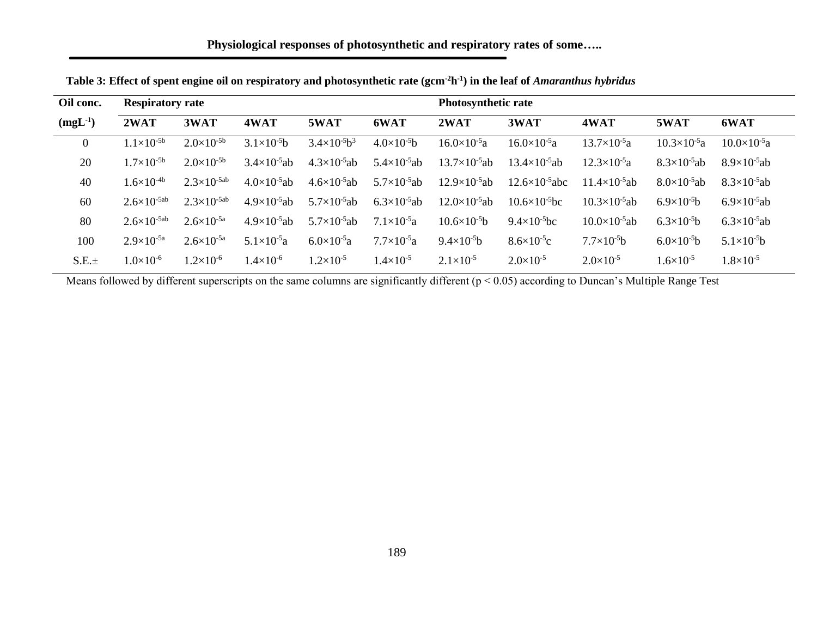| Oil conc.      | <b>Respiratory rate</b> |                       |                         |                         |                         | <b>Photosynthetic rate</b> |                           |                          |                       |                         |
|----------------|-------------------------|-----------------------|-------------------------|-------------------------|-------------------------|----------------------------|---------------------------|--------------------------|-----------------------|-------------------------|
| $(mgL^{-1})$   | 2WAT                    | 3WAT                  | 4WAT                    | 5WAT                    | 6WAT                    | 2WAT                       | 3WAT                      | 4WAT                     | 5WAT                  | 6WAT                    |
| $\overline{0}$ | $1.1\times10^{-5b}$     | $2.0\times10^{-5b}$   | $3.1\times10^{-5}b$     | $3.4\times10^{-5}b^3$   | $4.0\times10^{-5}b$     | $16.0\times10^{-5}a$       | $16.0\times10^{-5}a$      | $13.7\times10^{-5}a$     | $10.3\times10^{-5}a$  | $10.0\times10^{-5}a$    |
| 20             | $1.7\times10^{-5b}$     | $2.0\times10^{-5b}$   | $3.4 \times 10^{-5}$ ab | $4.3 \times 10^{-5}$ ab | $5.4 \times 10^{-5}$ ab | $13.7\times10^{-5}$ ab     | $13.4 \times 10^{-5}$ ab  | $12.3\times10^{-5}a$     | $8.3\times10^{-5}$ ab | $8.9\times10^{5}$ ab    |
| 40             | $1.6\times10^{-4b}$     | $2.3\times10^{-5ab}$  | $4.0\times10^{-5}$ ab   | $4.6 \times 10^{-5}$ ab | $5.7 \times 10^{-5}$ ab | $12.9\times10^{-5}$ ab     | $12.6 \times 10^{-5}$ abc | $11.4 \times 10^{-5}$ ab | $8.0\times10^{-5}$ ab | $8.3\times10^{-5}$ ab   |
| 60             | $2.6\times10^{-5ab}$    | $2.3\times10^{-5ab}$  | $4.9\times10^{-5}$ ab   | $5.7 \times 10^{-5}$ ab | $6.3 \times 10^{-5}$ ab | $12.0\times10^{-5}$ ab     | $10.6 \times 10^{-5}$ bc  | $10.3 \times 10^{-5}$ ab | $6.9\times10^{5}b$    | $6.9\times10^{5}$ ab    |
| 80             | $2.6\times10^{-5ab}$    | $2.6 \times 10^{-5a}$ | $4.9\times10^{-5}$ ab   | $5.7 \times 10^{-5}$ ab | $7.1 \times 10^{-5}a$   | $10.6 \times 10^{-5}b$     | $9.4 \times 10^{-5}$ bc   | $10.0\times10^{-5}$ ab   | $6.3\times10^{5}b$    | $6.3 \times 10^{-5}$ ab |
| 100            | $2.9\times10^{-5a}$     | $2.6 \times 10^{-5a}$ | $5.1 \times 10^{-5}a$   | $6.0 \times 10^{-5}a$   | $7.7\times10^{-5}a$     | $9.4 \times 10^{-5}$ b     | $8.6 \times 10^{-5}$ c    | $7.7\times10^{-5}b$      | $6.0\times10^{-5}b$   | $5.1 \times 10^{-5}$ b  |
| S.E.±          | $1.0\times10^{-6}$      | $1.2\times10^{-6}$    | $1.4\times10^{-6}$      | $1.2\times10^{-5}$      | $1.4\times10^{-5}$      | $2.1 \times 10^{-5}$       | $2.0\times10^{-5}$        | $2.0 \times 10^{-5}$     | $1.6 \times 10^{-5}$  | $1.8\times10^{-5}$      |

**Table 3: Effect of spent engine oil on respiratory and photosynthetic rate (gcm-2h -1 ) in the leaf of** *Amaranthus hybridus*

Means followed by different superscripts on the same columns are significantly different (p < 0.05) according to Duncan's Multiple Range Test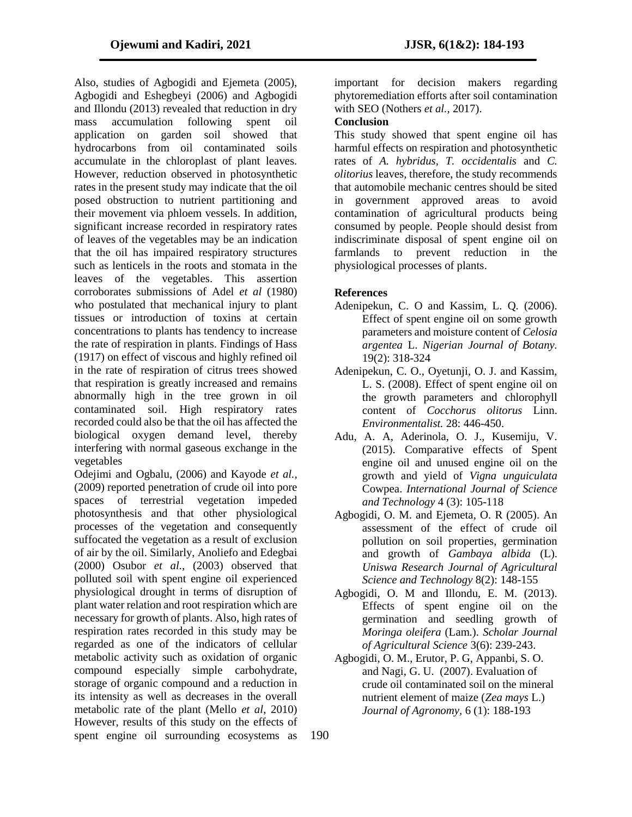Also, studies of Agbogidi and Ejemeta (2005), Agbogidi and Eshegbeyi (2006) and Agbogidi and Illondu (2013) revealed that reduction in dry mass accumulation following spent oil application on garden soil showed that hydrocarbons from oil contaminated soils accumulate in the chloroplast of plant leaves. However, reduction observed in photosynthetic rates in the present study may indicate that the oil posed obstruction to nutrient partitioning and their movement via phloem vessels. In addition, significant increase recorded in respiratory rates of leaves of the vegetables may be an indication that the oil has impaired respiratory structures such as lenticels in the roots and stomata in the leaves of the vegetables. This assertion corroborates submissions of Adel *et al* (1980) who postulated that mechanical injury to plant tissues or introduction of toxins at certain concentrations to plants has tendency to increase the rate of respiration in plants. Findings of Hass (1917) on effect of viscous and highly refined oil in the rate of respiration of citrus trees showed that respiration is greatly increased and remains abnormally high in the tree grown in oil contaminated soil. High respiratory rates recorded could also be that the oil has affected the biological oxygen demand level, thereby interfering with normal gaseous exchange in the vegetables

Odejimi and Ogbalu, (2006) and Kayode *et al.,* (2009) reported penetration of crude oil into pore spaces of terrestrial vegetation impeded photosynthesis and that other physiological processes of the vegetation and consequently suffocated the vegetation as a result of exclusion of air by the oil. Similarly, Anoliefo and Edegbai (2000) Osubor *et al.,* (2003) observed that polluted soil with spent engine oil experienced physiological drought in terms of disruption of plant water relation and root respiration which are necessary for growth of plants. Also, high rates of respiration rates recorded in this study may be regarded as one of the indicators of cellular metabolic activity such as oxidation of organic compound especially simple carbohydrate, storage of organic compound and a reduction in its intensity as well as decreases in the overall metabolic rate of the plant (Mello *et al*, 2010) However, results of this study on the effects of spent engine oil surrounding ecosystems as

important for decision makers regarding phytoremediation efforts after soil contamination with SEO (Nothers *et al.,* 2017).

# **Conclusion**

This study showed that spent engine oil has harmful effects on respiration and photosynthetic rates of *A. hybridus, T. occidentalis* and *C. olitorius* leaves, therefore, the study recommends that automobile mechanic centres should be sited in government approved areas to avoid contamination of agricultural products being consumed by people. People should desist from indiscriminate disposal of spent engine oil on farmlands to prevent reduction in the physiological processes of plants.

# **References**

- Adenipekun, C. O and Kassim, L. Q. (2006). Effect of spent engine oil on some growth parameters and moisture content of *Celosia argentea* L. *Nigerian Journal of Botany.* 19(2): 318-324
- Adenipekun, C. O., Oyetunji, O. J. and Kassim, L. S. (2008). Effect of spent engine oil on the growth parameters and chlorophyll content of *Cocchorus olitorus* Linn. *Environmentalist.* 28: 446-450.
- Adu, A. A, Aderinola, O. J., Kusemiju, V. (2015). Comparative effects of Spent engine oil and unused engine oil on the growth and yield of *Vigna unguiculata*  Cowpea. *International Journal of Science and Technology* 4 (3): 105-118
- Agbogidi, O. M. and Ejemeta, O. R (2005). An assessment of the effect of crude oil pollution on soil properties, germination and growth of *Gambaya albida* (L). *Uniswa Research Journal of Agricultural Science and Technology* 8(2): 148-155
- Agbogidi, O. M and Illondu, E. M. (2013). Effects of spent engine oil on the germination and seedling growth of *Moringa oleifera* (Lam.). *Scholar Journal of Agricultural Science* 3(6): 239-243.
- Agbogidi, O. M., Erutor, P. G, Appanbi, S. O. and Nagi, G. U. (2007). Evaluation of crude oil contaminated soil on the mineral nutrient element of maize (*Zea mays* L.) *Journal of Agronomy,* 6 (1): 188-193

190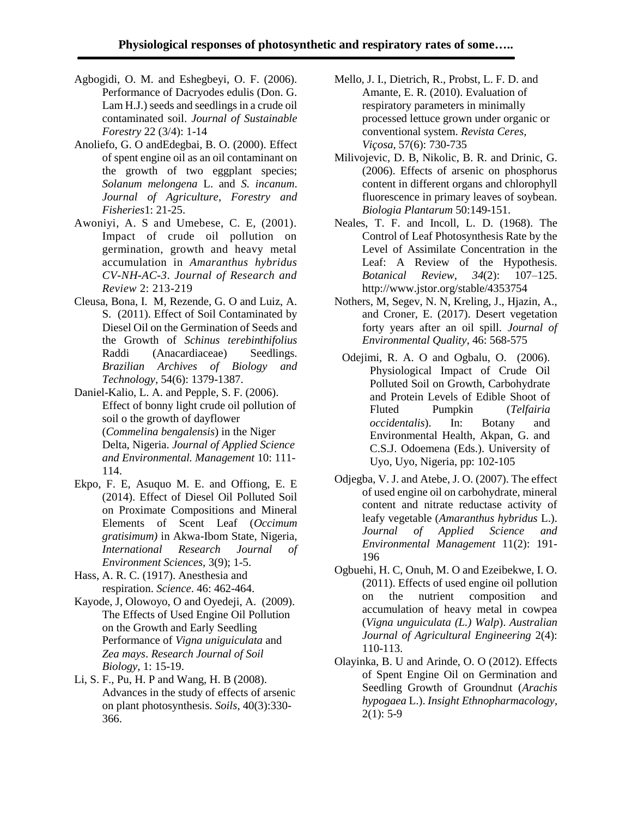- Agbogidi, O. M. and Eshegbeyi, O. F. (2006). Performance of Dacryodes edulis (Don. G. Lam H.J.) seeds and seedlings in a crude oil contaminated soil. *Journal of Sustainable Forestry* 22 (3/4): 1-14
- Anoliefo, G. O andEdegbai, B. O. (2000). Effect of spent engine oil as an oil contaminant on the growth of two eggplant species; *Solanum melongena* L. and *S. incanum*. *Journal of Agriculture, Forestry and Fisheries*1: 21-25.
- Awoniyi, A. S and Umebese, C. E, (2001). Impact of crude oil pollution on germination, growth and heavy metal accumulation in *Amaranthus hybridus CV-NH-AC-3*. *Journal of Research and Review* 2: 213-219
- Cleusa, Bona, I. M, Rezende, G. O and Luiz, A. S. (2011). Effect of Soil Contaminated by Diesel Oil on the Germination of Seeds and the Growth of *Schinus terebinthifolius* Raddi (Anacardiaceae) Seedlings. *Brazilian Archives of Biology and Technology,* 54(6): 1379-1387.
- Daniel-Kalio, L. A. and Pepple, S. F. (2006). Effect of bonny light crude oil pollution of soil o the growth of dayflower (*Commelina bengalensis*) in the Niger Delta, Nigeria. *Journal of Applied Science and Environmental. Management* 10: 111- 114.
- Ekpo, F. E, Asuquo M. E. and Offiong, E. E (2014). Effect of Diesel Oil Polluted Soil on Proximate Compositions and Mineral Elements of Scent Leaf (*Occimum gratisimum)* in Akwa-Ibom State, Nigeria, *International Research Journal of Environment Sciences,* 3(9); 1-5.
- Hass, A. R. C. (1917). Anesthesia and respiration. *Science*. 46: 462-464.
- Kayode, J, Olowoyo, O and Oyedeji, A. (2009). The Effects of Used Engine Oil Pollution on the Growth and Early Seedling Performance of *Vigna uniguiculata* and *Zea mays*. *Research Journal of Soil Biology,* 1: 15-19.
- Li, S. F., Pu, H. P and Wang, H. B (2008). Advances in the study of effects of arsenic on plant photosynthesis. *Soils*, 40(3):330- 366.
- Mello, J. I., Dietrich, R., Probst, L. F. D. and Amante, E. R. (2010). Evaluation of respiratory parameters in minimally processed lettuce grown under organic or conventional system. *Revista Ceres, Viçosa,* 57(6): 730-735
- Milivojevic, D. B, Nikolic, B. R. and Drinic, G. (2006). Effects of arsenic on phosphorus content in different organs and chlorophyll fluorescence in primary leaves of soybean. *Biologia Plantarum* 50:149-151.
- Neales, T. F. and Incoll, L. D. (1968). The Control of Leaf Photosynthesis Rate by the Level of Assimilate Concentration in the Leaf: A Review of the Hypothesis. *Botanical Review*, *34*(2): 107–125. http://www.jstor.org/stable/4353754
- Nothers, M, Segev, N. N, Kreling, J., Hjazin, A., and Croner, E. (2017). Desert vegetation forty years after an oil spill. *Journal of Environmental Quality*, 46: 568-575
- Odejimi, R. A. O and Ogbalu, O. (2006). Physiological Impact of Crude Oil Polluted Soil on Growth, Carbohydrate and Protein Levels of Edible Shoot of Fluted Pumpkin (*Telfairia occidentalis*). In: Botany and Environmental Health, Akpan, G. and C.S.J. Odoemena (Eds.). University of Uyo, Uyo, Nigeria, pp: 102-105
- Odjegba, V. J. and Atebe, J. O. (2007). The effect of used engine oil on carbohydrate, mineral content and nitrate reductase activity of leafy vegetable (*Amaranthus hybridus* L.). *Journal of Applied Science and Environmental Management* 11(2): 191- 196
- Ogbuehi, H. C, Onuh, M. O and Ezeibekwe, I. O. (2011). Effects of used engine oil pollution on the nutrient composition and accumulation of heavy metal in cowpea (*Vigna unguiculata (L.) Walp*). *Australian Journal of Agricultural Engineering* 2(4): 110-113.
- Olayinka, B. U and Arinde, O. O (2012). Effects of Spent Engine Oil on Germination and Seedling Growth of Groundnut (*Arachis hypogaea* L.). *Insight Ethnopharmacology*,  $2(1): 5-9$